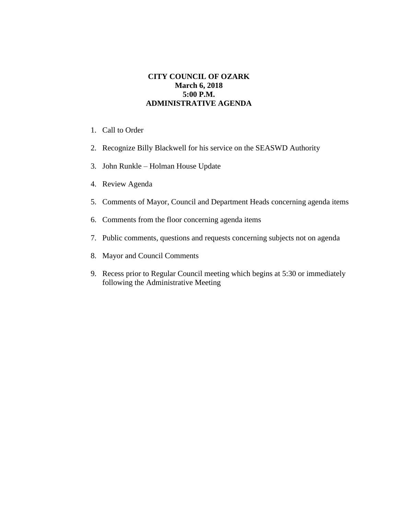## **CITY COUNCIL OF OZARK March 6, 2018 5:00 P.M. ADMINISTRATIVE AGENDA**

- 1. Call to Order
- 2. Recognize Billy Blackwell for his service on the SEASWD Authority
- 3. John Runkle Holman House Update
- 4. Review Agenda
- 5. Comments of Mayor, Council and Department Heads concerning agenda items
- 6. Comments from the floor concerning agenda items
- 7. Public comments, questions and requests concerning subjects not on agenda
- 8. Mayor and Council Comments
- 9. Recess prior to Regular Council meeting which begins at 5:30 or immediately following the Administrative Meeting